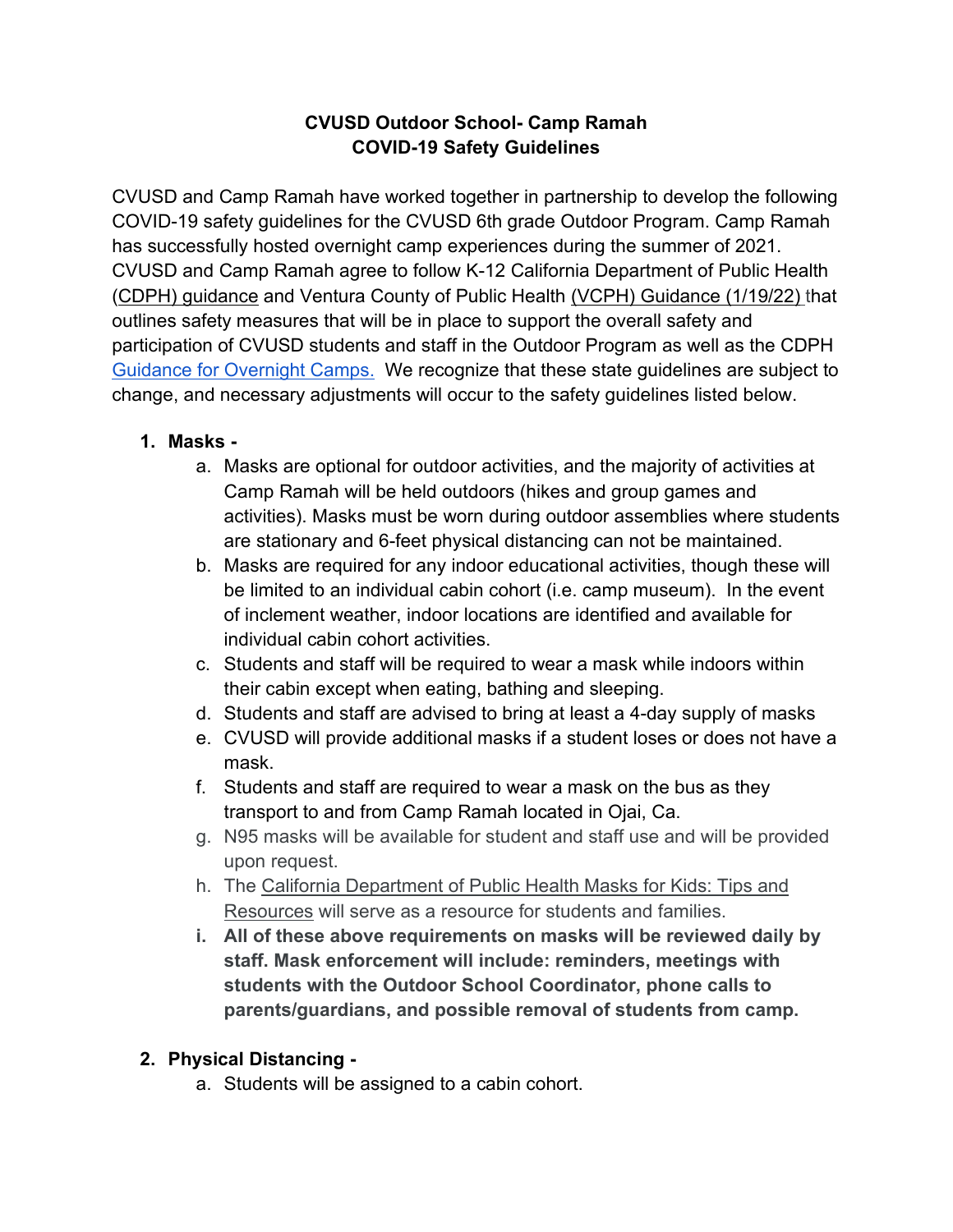#### **CVUSD Outdoor School- Camp Ramah COVID-19 Safety Guidelines**

CVUSD and Camp Ramah have worked together in partnership to develop the following COVID-19 safety guidelines for the CVUSD 6th grade Outdoor Program. Camp Ramah has successfully hosted overnight camp experiences during the summer of 2021. CVUSD and Camp Ramah agree to follow K-12 California Department of Public Health [\(CDPH\) guidance](https://www.cdph.ca.gov/Programs/CID/DCDC/Pages/COVID-19/K-12-Guidance-2021-22-School-Year.aspx?_cldee=amZlbnN0ZXJ3YWxkQGVkc291cmNlLm9yZw%3d%3d&recipientid=contact-8b8dc6e8b738e61180ef005056b02a09-8b142a7f03e747e09af5290c619521ea&esid=f79c65e8-65e3-eb11-8145-005056b02a09) and Ventura County of Public Health [\(VCPH\) Guidance \(1/19/22\)](https://drive.google.com/file/d/1ihbe_F_L_-QlesCNbPskdBruWzB4Y_4v/view?usp=sharing-19%20and%20Schools%20FAQ_English_22-01-19.pdf0and%20Schools%20FAQ_English_22-01-19.pdfNIFOjTCCRaZnnbNTygoj4/view?usp=sharing289YjnEPRLAB8ePpjUy5QJykNID-19%20and%20Schools%20FAQ_English_11_02_21%20FINAL%20.pdf) that outlines safety measures that will be in place to support the overall safety and participation of CVUSD students and staff in the Outdoor Program as well as the CDPH [Guidance for Overnight Camps.](https://www.google.com/url?q=https://www.cdph.ca.gov/Programs/CID/DCDC/Pages/COVID-19/Guidance-for-Overnight-Camps.aspx&sa=D&source=editors&ust=1632517555461000&usg=AOvVaw1TiZ1qAgyMoHCMyDZ9su0Q&safe=active&surl=1) We recognize that these state guidelines are subject to change, and necessary adjustments will occur to the safety guidelines listed below.

#### **1. Masks -**

- a. Masks are optional for outdoor activities, and the majority of activities at Camp Ramah will be held outdoors (hikes and group games and activities). Masks must be worn during outdoor assemblies where students are stationary and 6-feet physical distancing can not be maintained.
- b. Masks are required for any indoor educational activities, though these will be limited to an individual cabin cohort (i.e. camp museum). In the event of inclement weather, indoor locations are identified and available for individual cabin cohort activities.
- c. Students and staff will be required to wear a mask while indoors within their cabin except when eating, bathing and sleeping.
- d. Students and staff are advised to bring at least a 4-day supply of masks
- e. CVUSD will provide additional masks if a student loses or does not have a mask.
- f. Students and staff are required to wear a mask on the bus as they transport to and from Camp Ramah located in Ojai, Ca.
- g. N95 masks will be available for student and staff use and will be provided upon request.
- h. The [California Department of Public Health Masks for Kids: Tips and](https://www.cdph.ca.gov/Programs/CID/DCDC/Pages/COVID-19/Masks-for-Kids-Tips-and-Resources.aspx)  [Resources](https://www.cdph.ca.gov/Programs/CID/DCDC/Pages/COVID-19/Masks-for-Kids-Tips-and-Resources.aspx) will serve as a resource for students and families.
- **i. All of these above requirements on masks will be reviewed daily by staff. Mask enforcement will include: reminders, meetings with students with the Outdoor School Coordinator, phone calls to parents/guardians, and possible removal of students from camp.**

### **2. Physical Distancing -**

a. Students will be assigned to a cabin cohort.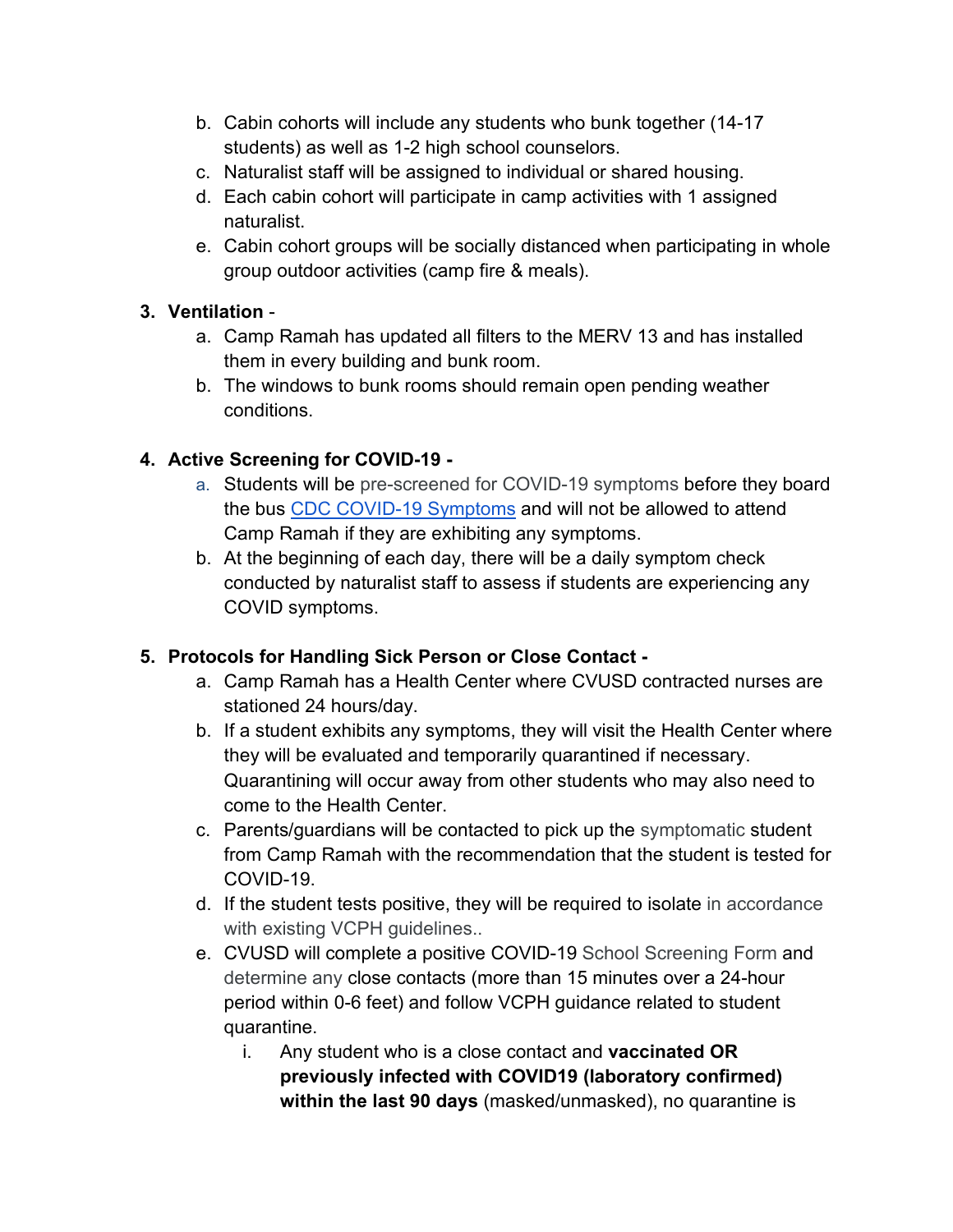- b. Cabin cohorts will include any students who bunk together (14-17 students) as well as 1-2 high school counselors.
- c. Naturalist staff will be assigned to individual or shared housing.
- d. Each cabin cohort will participate in camp activities with 1 assigned naturalist.
- e. Cabin cohort groups will be socially distanced when participating in whole group outdoor activities (camp fire & meals).

### **3. Ventilation** -

- a. Camp Ramah has updated all filters to the MERV 13 and has installed them in every building and bunk room.
- b. The windows to bunk rooms should remain open pending weather conditions.

### **4. Active Screening for COVID-19 -**

- a. Students will be pre-screened for COVID-19 symptoms before they board the bus [CDC COVID-19 Symptoms](https://www.cdc.gov/coronavirus/2019-ncov/symptoms-testing/symptoms.html) and will not be allowed to attend Camp Ramah if they are exhibiting any symptoms.
- b. At the beginning of each day, there will be a daily symptom check conducted by naturalist staff to assess if students are experiencing any COVID symptoms.

### **5. Protocols for Handling Sick Person or Close Contact -**

- a. Camp Ramah has a Health Center where CVUSD contracted nurses are stationed 24 hours/day.
- b. If a student exhibits any symptoms, they will visit the Health Center where they will be evaluated and temporarily quarantined if necessary. Quarantining will occur away from other students who may also need to come to the Health Center.
- c. Parents/guardians will be contacted to pick up the symptomatic student from Camp Ramah with the recommendation that the student is tested for COVID-19.
- d. If the student tests positive, they will be required to isolate in accordance with existing VCPH guidelines..
- e. CVUSD will complete a positive COVID-19 School Screening Form and determine any close contacts (more than 15 minutes over a 24-hour period within 0-6 feet) and follow VCPH guidance related to student quarantine.
	- i. Any student who is a close contact and **vaccinated OR previously infected with COVID19 (laboratory confirmed) within the last 90 days** (masked/unmasked), no quarantine is